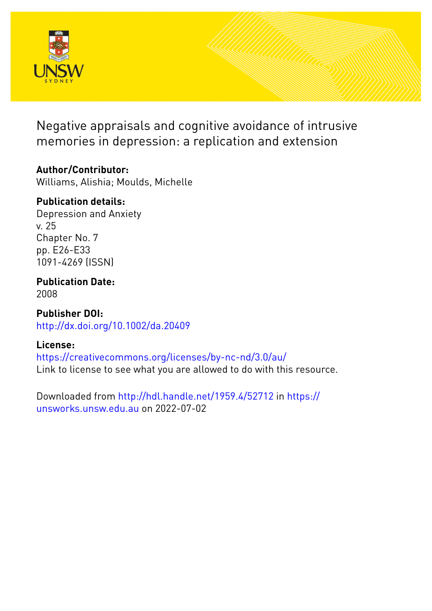

Negative appraisals and cognitive avoidance of intrusive memories in depression: a replication and extension

# **Author/Contributor:**

Williams, Alishia; Moulds, Michelle

# **Publication details:**

Depression and Anxiety v. 25 Chapter No. 7 pp. E26-E33 1091-4269 (ISSN)

**Publication Date:** 2008

**Publisher DOI:** [http://dx.doi.org/10.1002/da.20409](http://dx.doi.org/http://dx.doi.org/10.1002/da.20409)

# **License:**

<https://creativecommons.org/licenses/by-nc-nd/3.0/au/> Link to license to see what you are allowed to do with this resource.

Downloaded from <http://hdl.handle.net/1959.4/52712> in [https://](https://unsworks.unsw.edu.au) [unsworks.unsw.edu.au](https://unsworks.unsw.edu.au) on 2022-07-02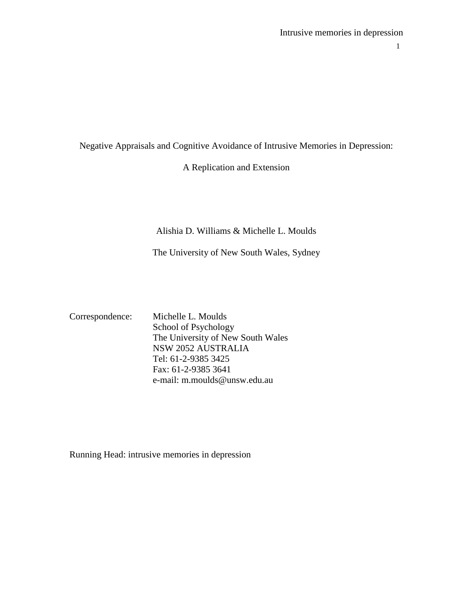Intrusive memories in depression

1

Negative Appraisals and Cognitive Avoidance of Intrusive Memories in Depression:

A Replication and Extension

Alishia D. Williams & Michelle L. Moulds

The University of New South Wales, Sydney

Correspondence: Michelle L. Moulds School of Psychology The University of New South Wales NSW 2052 AUSTRALIA Tel: 61-2-9385 3425 Fax: 61-2-9385 3641 e-mail: m.moulds@unsw.edu.au

Running Head: intrusive memories in depression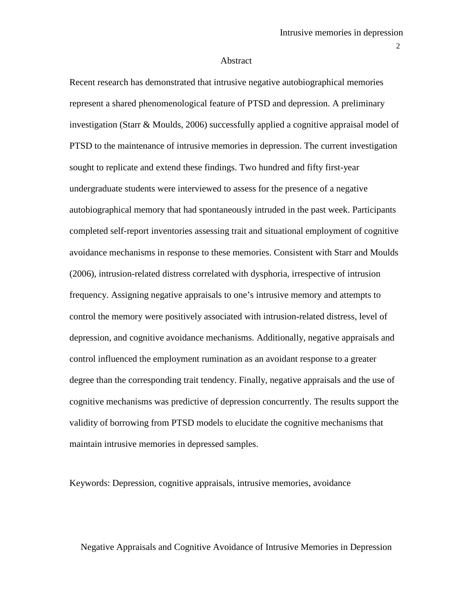#### Abstract

Recent research has demonstrated that intrusive negative autobiographical memories represent a shared phenomenological feature of PTSD and depression. A preliminary investigation (Starr & Moulds, 2006) successfully applied a cognitive appraisal model of PTSD to the maintenance of intrusive memories in depression. The current investigation sought to replicate and extend these findings. Two hundred and fifty first-year undergraduate students were interviewed to assess for the presence of a negative autobiographical memory that had spontaneously intruded in the past week. Participants completed self-report inventories assessing trait and situational employment of cognitive avoidance mechanisms in response to these memories. Consistent with Starr and Moulds (2006), intrusion-related distress correlated with dysphoria, irrespective of intrusion frequency. Assigning negative appraisals to one's intrusive memory and attempts to control the memory were positively associated with intrusion-related distress, level of depression, and cognitive avoidance mechanisms. Additionally, negative appraisals and control influenced the employment rumination as an avoidant response to a greater degree than the corresponding trait tendency. Finally, negative appraisals and the use of cognitive mechanisms was predictive of depression concurrently. The results support the validity of borrowing from PTSD models to elucidate the cognitive mechanisms that maintain intrusive memories in depressed samples.

Keywords: Depression, cognitive appraisals, intrusive memories, avoidance

Negative Appraisals and Cognitive Avoidance of Intrusive Memories in Depression

2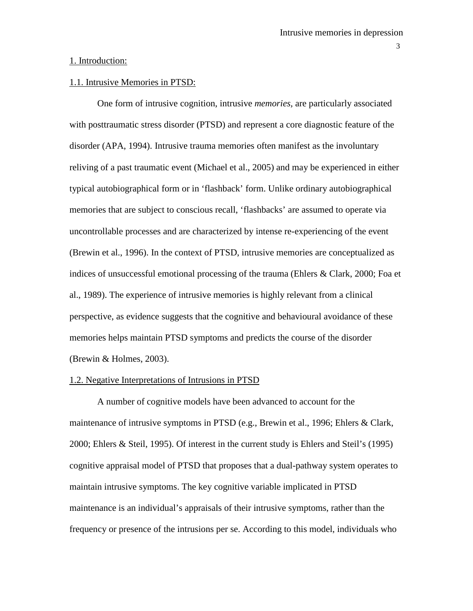### 1. Introduction:

## 1.1. Intrusive Memories in PTSD:

One form of intrusive cognition, intrusive *memories,* are particularly associated with posttraumatic stress disorder (PTSD) and represent a core diagnostic feature of the disorder (APA, 1994). Intrusive trauma memories often manifest as the involuntary reliving of a past traumatic event (Michael et al., 2005) and may be experienced in either typical autobiographical form or in 'flashback' form. Unlike ordinary autobiographical memories that are subject to conscious recall, 'flashbacks' are assumed to operate via uncontrollable processes and are characterized by intense re-experiencing of the event (Brewin et al., 1996). In the context of PTSD, intrusive memories are conceptualized as indices of unsuccessful emotional processing of the trauma (Ehlers & Clark, 2000; Foa et al., 1989). The experience of intrusive memories is highly relevant from a clinical perspective, as evidence suggests that the cognitive and behavioural avoidance of these memories helps maintain PTSD symptoms and predicts the course of the disorder (Brewin & Holmes, 2003).

## 1.2. Negative Interpretations of Intrusions in PTSD

A number of cognitive models have been advanced to account for the maintenance of intrusive symptoms in PTSD (e.g., Brewin et al., 1996; Ehlers & Clark, 2000; Ehlers & Steil, 1995). Of interest in the current study is Ehlers and Steil's (1995) cognitive appraisal model of PTSD that proposes that a dual-pathway system operates to maintain intrusive symptoms. The key cognitive variable implicated in PTSD maintenance is an individual's appraisals of their intrusive symptoms, rather than the frequency or presence of the intrusions per se. According to this model, individuals who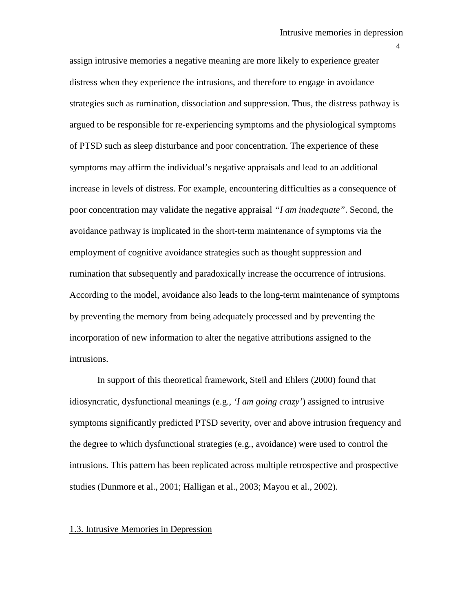assign intrusive memories a negative meaning are more likely to experience greater distress when they experience the intrusions, and therefore to engage in avoidance strategies such as rumination, dissociation and suppression. Thus, the distress pathway is argued to be responsible for re-experiencing symptoms and the physiological symptoms of PTSD such as sleep disturbance and poor concentration. The experience of these symptoms may affirm the individual's negative appraisals and lead to an additional increase in levels of distress. For example, encountering difficulties as a consequence of poor concentration may validate the negative appraisal *"I am inadequate"*. Second, the avoidance pathway is implicated in the short-term maintenance of symptoms via the employment of cognitive avoidance strategies such as thought suppression and rumination that subsequently and paradoxically increase the occurrence of intrusions. According to the model, avoidance also leads to the long-term maintenance of symptoms by preventing the memory from being adequately processed and by preventing the incorporation of new information to alter the negative attributions assigned to the intrusions.

In support of this theoretical framework, Steil and Ehlers (2000) found that idiosyncratic, dysfunctional meanings (e.g., *'I am going crazy'*) assigned to intrusive symptoms significantly predicted PTSD severity, over and above intrusion frequency and the degree to which dysfunctional strategies (e.g., avoidance) were used to control the intrusions. This pattern has been replicated across multiple retrospective and prospective studies (Dunmore et al., 2001; Halligan et al., 2003; Mayou et al., 2002).

#### 1.3. Intrusive Memories in Depression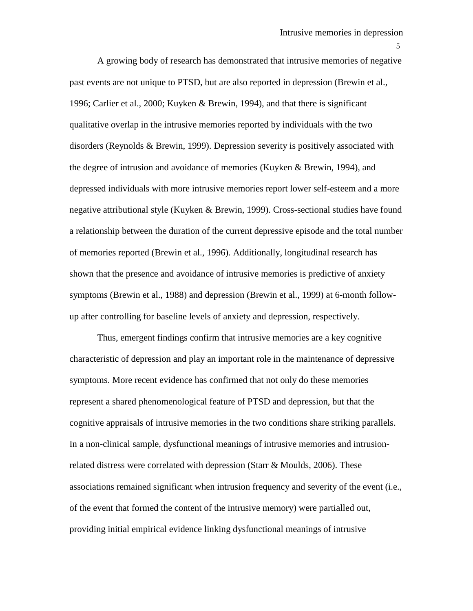A growing body of research has demonstrated that intrusive memories of negative past events are not unique to PTSD, but are also reported in depression (Brewin et al., 1996; Carlier et al., 2000; Kuyken & Brewin, 1994), and that there is significant qualitative overlap in the intrusive memories reported by individuals with the two disorders (Reynolds & Brewin, 1999). Depression severity is positively associated with the degree of intrusion and avoidance of memories (Kuyken & Brewin, 1994), and depressed individuals with more intrusive memories report lower self-esteem and a more negative attributional style (Kuyken & Brewin, 1999). Cross-sectional studies have found a relationship between the duration of the current depressive episode and the total number of memories reported (Brewin et al., 1996). Additionally, longitudinal research has shown that the presence and avoidance of intrusive memories is predictive of anxiety symptoms (Brewin et al., 1988) and depression (Brewin et al., 1999) at 6-month followup after controlling for baseline levels of anxiety and depression, respectively.

Thus, emergent findings confirm that intrusive memories are a key cognitive characteristic of depression and play an important role in the maintenance of depressive symptoms. More recent evidence has confirmed that not only do these memories represent a shared phenomenological feature of PTSD and depression, but that the cognitive appraisals of intrusive memories in the two conditions share striking parallels. In a non-clinical sample, dysfunctional meanings of intrusive memories and intrusionrelated distress were correlated with depression (Starr  $\&$  Moulds, 2006). These associations remained significant when intrusion frequency and severity of the event (i.e., of the event that formed the content of the intrusive memory) were partialled out, providing initial empirical evidence linking dysfunctional meanings of intrusive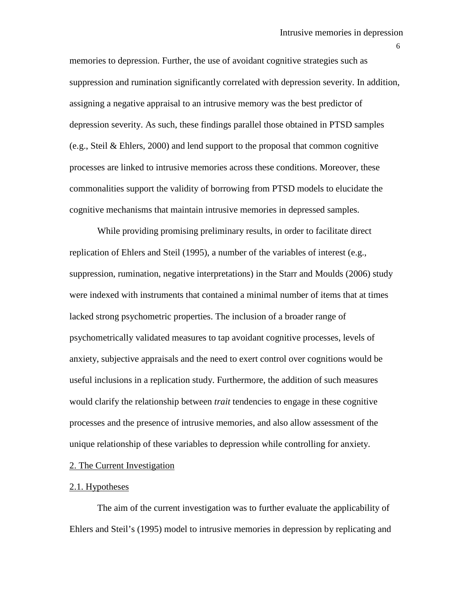memories to depression. Further, the use of avoidant cognitive strategies such as suppression and rumination significantly correlated with depression severity. In addition, assigning a negative appraisal to an intrusive memory was the best predictor of depression severity. As such, these findings parallel those obtained in PTSD samples (e.g., Steil & Ehlers, 2000) and lend support to the proposal that common cognitive processes are linked to intrusive memories across these conditions. Moreover, these commonalities support the validity of borrowing from PTSD models to elucidate the cognitive mechanisms that maintain intrusive memories in depressed samples.

While providing promising preliminary results, in order to facilitate direct replication of Ehlers and Steil (1995), a number of the variables of interest (e.g., suppression, rumination, negative interpretations) in the Starr and Moulds (2006) study were indexed with instruments that contained a minimal number of items that at times lacked strong psychometric properties. The inclusion of a broader range of psychometrically validated measures to tap avoidant cognitive processes, levels of anxiety, subjective appraisals and the need to exert control over cognitions would be useful inclusions in a replication study. Furthermore, the addition of such measures would clarify the relationship between *trait* tendencies to engage in these cognitive processes and the presence of intrusive memories, and also allow assessment of the unique relationship of these variables to depression while controlling for anxiety.

## 2. The Current Investigation

### 2.1. Hypotheses

The aim of the current investigation was to further evaluate the applicability of Ehlers and Steil's (1995) model to intrusive memories in depression by replicating and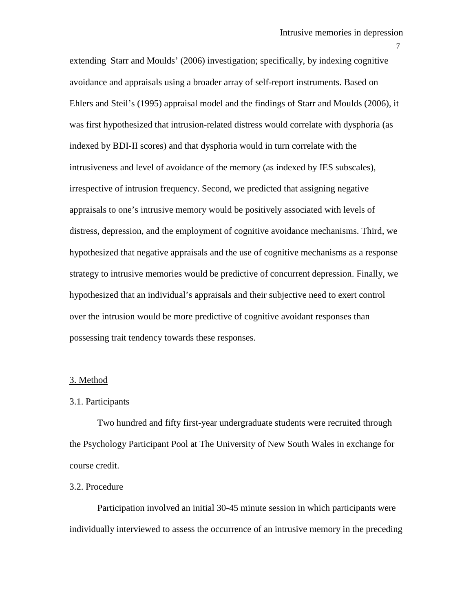extending Starr and Moulds' (2006) investigation; specifically, by indexing cognitive avoidance and appraisals using a broader array of self-report instruments. Based on Ehlers and Steil's (1995) appraisal model and the findings of Starr and Moulds (2006), it was first hypothesized that intrusion-related distress would correlate with dysphoria (as indexed by BDI-II scores) and that dysphoria would in turn correlate with the intrusiveness and level of avoidance of the memory (as indexed by IES subscales), irrespective of intrusion frequency. Second, we predicted that assigning negative appraisals to one's intrusive memory would be positively associated with levels of distress, depression, and the employment of cognitive avoidance mechanisms. Third, we hypothesized that negative appraisals and the use of cognitive mechanisms as a response strategy to intrusive memories would be predictive of concurrent depression. Finally, we hypothesized that an individual's appraisals and their subjective need to exert control over the intrusion would be more predictive of cognitive avoidant responses than possessing trait tendency towards these responses.

#### 3. Method

#### 3.1. Participants

Two hundred and fifty first-year undergraduate students were recruited through the Psychology Participant Pool at The University of New South Wales in exchange for course credit.

### 3.2. Procedure

Participation involved an initial 30-45 minute session in which participants were individually interviewed to assess the occurrence of an intrusive memory in the preceding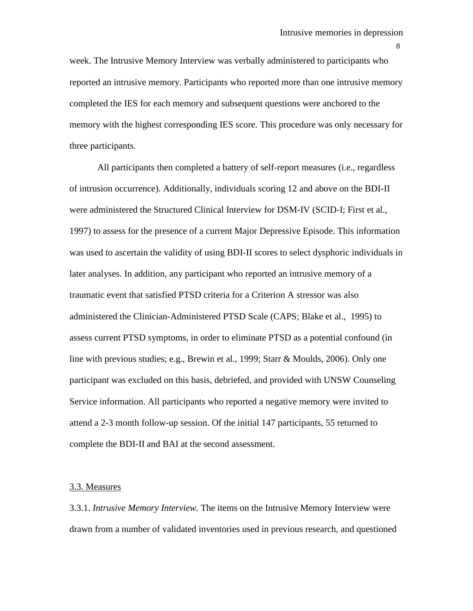week. The Intrusive Memory Interview was verbally administered to participants who reported an intrusive memory. Participants who reported more than one intrusive memory completed the IES for each memory and subsequent questions were anchored to the memory with the highest corresponding IES score. This procedure was only necessary for three participants.

All participants then completed a battery of self-report measures (i.e., regardless of intrusion occurrence). Additionally, individuals scoring 12 and above on the BDI-II were administered the Structured Clinical Interview for DSM-IV (SCID-I; First et al., 1997) to assess for the presence of a current Major Depressive Episode. This information was used to ascertain the validity of using BDI-II scores to select dysphoric individuals in later analyses. In addition, any participant who reported an intrusive memory of a traumatic event that satisfied PTSD criteria for a Criterion A stressor was also administered the Clinician-Administered PTSD Scale (CAPS; Blake et al., 1995) to assess current PTSD symptoms, in order to eliminate PTSD as a potential confound (in line with previous studies; e.g., Brewin et al., 1999; Starr & Moulds, 2006). Only one participant was excluded on this basis, debriefed, and provided with UNSW Counseling Service information. All participants who reported a negative memory were invited to attend a 2-3 month follow-up session. Of the initial 147 participants, 55 returned to complete the BDI-II and BAI at the second assessment.

#### 3.3. Measures

3.3.1. *Intrusive Memory Interview.* The items on the Intrusive Memory Interview were drawn from a number of validated inventories used in previous research, and questioned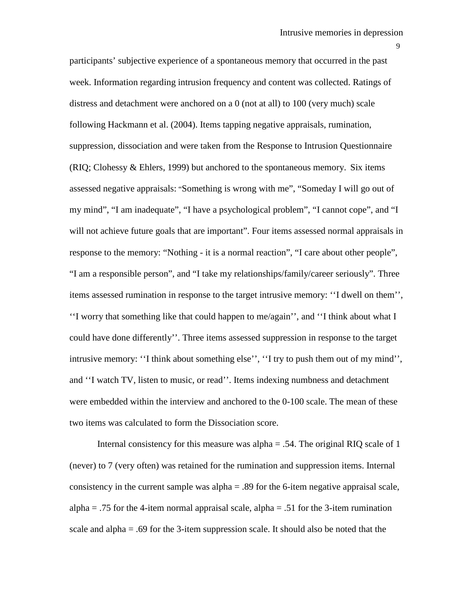participants' subjective experience of a spontaneous memory that occurred in the past week. Information regarding intrusion frequency and content was collected. Ratings of distress and detachment were anchored on a 0 (not at all) to 100 (very much) scale following Hackmann et al. (2004). Items tapping negative appraisals, rumination, suppression, dissociation and were taken from the Response to Intrusion Questionnaire (RIQ; Clohessy & Ehlers, 1999) but anchored to the spontaneous memory. Six items assessed negative appraisals: "Something is wrong with me", "Someday I will go out of my mind", "I am inadequate", "I have a psychological problem", "I cannot cope", and "I will not achieve future goals that are important". Four items assessed normal appraisals in response to the memory: "Nothing - it is a normal reaction", "I care about other people", "I am a responsible person", and "I take my relationships/family/career seriously". Three items assessed rumination in response to the target intrusive memory: ''I dwell on them'', ''I worry that something like that could happen to me/again'', and ''I think about what I could have done differently''. Three items assessed suppression in response to the target intrusive memory: ''I think about something else'', ''I try to push them out of my mind'', and ''I watch TV, listen to music, or read''. Items indexing numbness and detachment were embedded within the interview and anchored to the 0-100 scale. The mean of these two items was calculated to form the Dissociation score.

Internal consistency for this measure was alpha  $= .54$ . The original RIQ scale of 1 (never) to 7 (very often) was retained for the rumination and suppression items. Internal consistency in the current sample was  $alpha = .89$  for the 6-item negative appraisal scale, alpha  $= .75$  for the 4-item normal appraisal scale, alpha  $= .51$  for the 3-item rumination scale and alpha  $= .69$  for the 3-item suppression scale. It should also be noted that the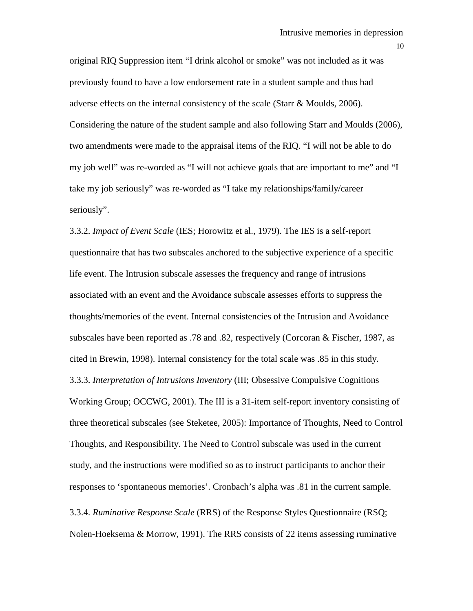original RIQ Suppression item "I drink alcohol or smoke" was not included as it was previously found to have a low endorsement rate in a student sample and thus had adverse effects on the internal consistency of the scale (Starr & Moulds, 2006). Considering the nature of the student sample and also following Starr and Moulds (2006), two amendments were made to the appraisal items of the RIQ. "I will not be able to do my job well" was re-worded as "I will not achieve goals that are important to me" and "I take my job seriously" was re-worded as "I take my relationships/family/career seriously".

3.3.2. *Impact of Event Scale* (IES; Horowitz et al., 1979). The IES is a self-report questionnaire that has two subscales anchored to the subjective experience of a specific life event. The Intrusion subscale assesses the frequency and range of intrusions associated with an event and the Avoidance subscale assesses efforts to suppress the thoughts/memories of the event. Internal consistencies of the Intrusion and Avoidance subscales have been reported as .78 and .82, respectively (Corcoran & Fischer, 1987, as cited in Brewin, 1998). Internal consistency for the total scale was .85 in this study. 3.3.3. *Interpretation of Intrusions Inventory* (III; Obsessive Compulsive Cognitions Working Group; OCCWG, 2001). The III is a 31-item self-report inventory consisting of three theoretical subscales (see Steketee, 2005): Importance of Thoughts, Need to Control Thoughts, and Responsibility. The Need to Control subscale was used in the current study, and the instructions were modified so as to instruct participants to anchor their responses to 'spontaneous memories'. Cronbach's alpha was .81 in the current sample.

3.3.4. *Ruminative Response Scale* (RRS) of the Response Styles Questionnaire (RSQ; Nolen-Hoeksema & Morrow, 1991). The RRS consists of 22 items assessing ruminative

10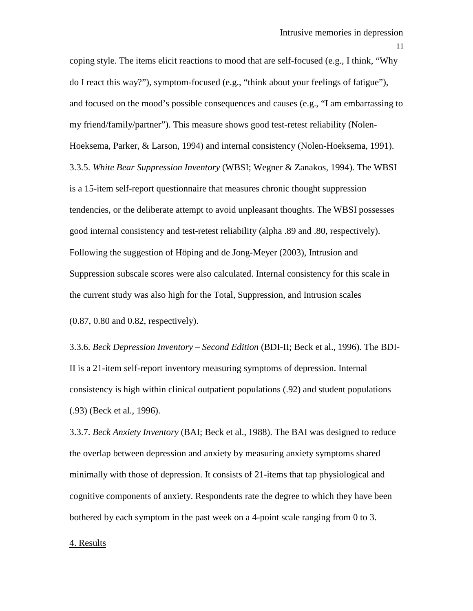coping style. The items elicit reactions to mood that are self-focused (e.g., I think, "Why do I react this way?"), symptom-focused (e.g., "think about your feelings of fatigue"), and focused on the mood's possible consequences and causes (e.g., "I am embarrassing to my friend/family/partner"). This measure shows good test-retest reliability (Nolen-Hoeksema, Parker, & Larson, 1994) and internal consistency (Nolen-Hoeksema, 1991). 3.3.5. *White Bear Suppression Inventory* (WBSI; Wegner & Zanakos, 1994). The WBSI is a 15-item self-report questionnaire that measures chronic thought suppression tendencies, or the deliberate attempt to avoid unpleasant thoughts. The WBSI possesses good internal consistency and test-retest reliability (alpha .89 and .80, respectively). Following the suggestion of Höping and de Jong-Meyer (2003), Intrusion and Suppression subscale scores were also calculated. Internal consistency for this scale in the current study was also high for the Total, Suppression, and Intrusion scales

(0.87, 0.80 and 0.82, respectively).

3.3.6. *Beck Depression Inventory – Second Edition* (BDI-II; Beck et al., 1996). The BDI-II is a 21-item self-report inventory measuring symptoms of depression. Internal consistency is high within clinical outpatient populations (.92) and student populations (.93) (Beck et al., 1996).

3.3.7. *Beck Anxiety Inventory* (BAI; Beck et al., 1988). The BAI was designed to reduce the overlap between depression and anxiety by measuring anxiety symptoms shared minimally with those of depression. It consists of 21-items that tap physiological and cognitive components of anxiety. Respondents rate the degree to which they have been bothered by each symptom in the past week on a 4-point scale ranging from 0 to 3.

## 4. Results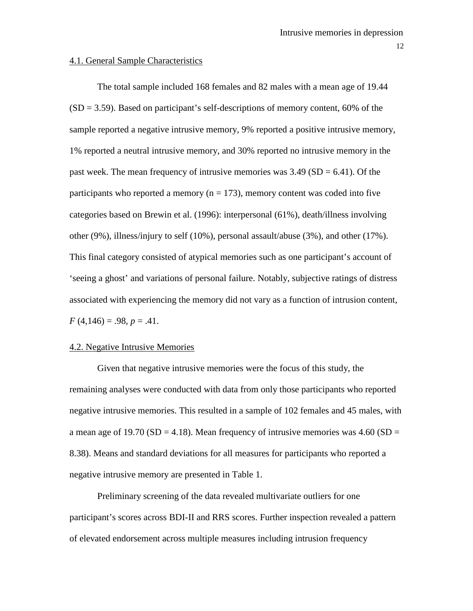### 4.1. General Sample Characteristics

The total sample included 168 females and 82 males with a mean age of 19.44  $(SD = 3.59)$ . Based on participant's self-descriptions of memory content, 60% of the sample reported a negative intrusive memory, 9% reported a positive intrusive memory, 1% reported a neutral intrusive memory, and 30% reported no intrusive memory in the past week. The mean frequency of intrusive memories was  $3.49$  (SD = 6.41). Of the participants who reported a memory ( $n = 173$ ), memory content was coded into five categories based on Brewin et al. (1996): interpersonal (61%), death/illness involving other (9%), illness/injury to self (10%), personal assault/abuse (3%), and other (17%). This final category consisted of atypical memories such as one participant's account of 'seeing a ghost' and variations of personal failure. Notably, subjective ratings of distress associated with experiencing the memory did not vary as a function of intrusion content,  $F(4,146) = .98, p = .41.$ 

### 4.2. Negative Intrusive Memories

Given that negative intrusive memories were the focus of this study, the remaining analyses were conducted with data from only those participants who reported negative intrusive memories. This resulted in a sample of 102 females and 45 males, with a mean age of 19.70 (SD = 4.18). Mean frequency of intrusive memories was 4.60 (SD = 8.38). Means and standard deviations for all measures for participants who reported a negative intrusive memory are presented in Table 1.

Preliminary screening of the data revealed multivariate outliers for one participant's scores across BDI-II and RRS scores. Further inspection revealed a pattern of elevated endorsement across multiple measures including intrusion frequency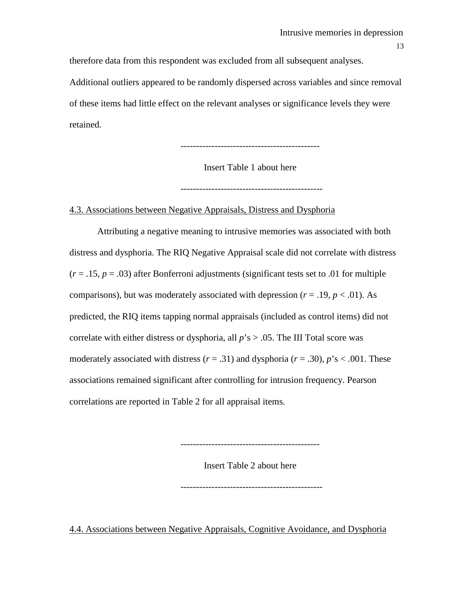therefore data from this respondent was excluded from all subsequent analyses.

Additional outliers appeared to be randomly dispersed across variables and since removal of these items had little effect on the relevant analyses or significance levels they were retained.

---------------------------------------------

Insert Table 1 about here

----------------------------------------------

## 4.3. Associations between Negative Appraisals, Distress and Dysphoria

Attributing a negative meaning to intrusive memories was associated with both distress and dysphoria. The RIQ Negative Appraisal scale did not correlate with distress  $(r = .15, p = .03)$  after Bonferroni adjustments (significant tests set to .01 for multiple comparisons), but was moderately associated with depression  $(r = .19, p < .01)$ . As predicted, the RIQ items tapping normal appraisals (included as control items) did not correlate with either distress or dysphoria, all *p*'s > .05. The III Total score was moderately associated with distress  $(r = .31)$  and dysphoria  $(r = .30)$ ,  $p's < .001$ . These associations remained significant after controlling for intrusion frequency. Pearson correlations are reported in Table 2 for all appraisal items.

Insert Table 2 about here

---------------------------------------------

----------------------------------------------

4.4. Associations between Negative Appraisals, Cognitive Avoidance, and Dysphoria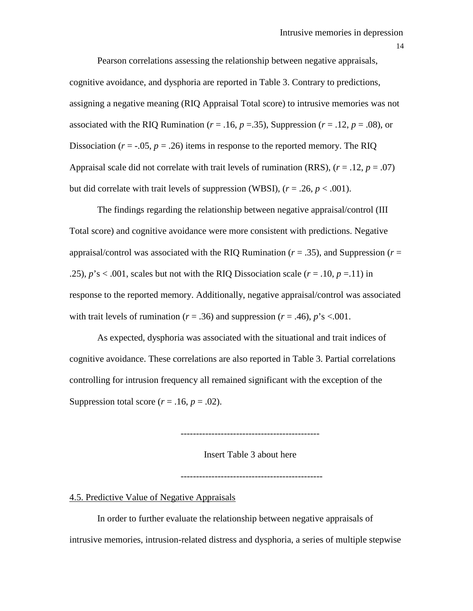Pearson correlations assessing the relationship between negative appraisals, cognitive avoidance, and dysphoria are reported in Table 3. Contrary to predictions, assigning a negative meaning (RIQ Appraisal Total score) to intrusive memories was not associated with the RIQ Rumination ( $r = .16$ ,  $p = .35$ ), Suppression ( $r = .12$ ,  $p = .08$ ), or Dissociation  $(r = -0.05, p = 0.26)$  items in response to the reported memory. The RIQ Appraisal scale did not correlate with trait levels of rumination (RRS),  $(r = .12, p = .07)$ but did correlate with trait levels of suppression (WBSI),  $(r = .26, p < .001)$ .

The findings regarding the relationship between negative appraisal/control (III Total score) and cognitive avoidance were more consistent with predictions. Negative appraisal/control was associated with the RIQ Rumination ( $r = .35$ ), and Suppression ( $r =$ .25),  $p$ 's < .001, scales but not with the RIQ Dissociation scale ( $r = .10$ ,  $p = .11$ ) in response to the reported memory. Additionally, negative appraisal/control was associated with trait levels of rumination ( $r = .36$ ) and suppression ( $r = .46$ ),  $p's < .001$ .

As expected, dysphoria was associated with the situational and trait indices of cognitive avoidance. These correlations are also reported in Table 3. Partial correlations controlling for intrusion frequency all remained significant with the exception of the Suppression total score  $(r = .16, p = .02)$ .

---------------------------------------------

Insert Table 3 about here

----------------------------------------------

## 4.5. Predictive Value of Negative Appraisals

In order to further evaluate the relationship between negative appraisals of intrusive memories, intrusion-related distress and dysphoria, a series of multiple stepwise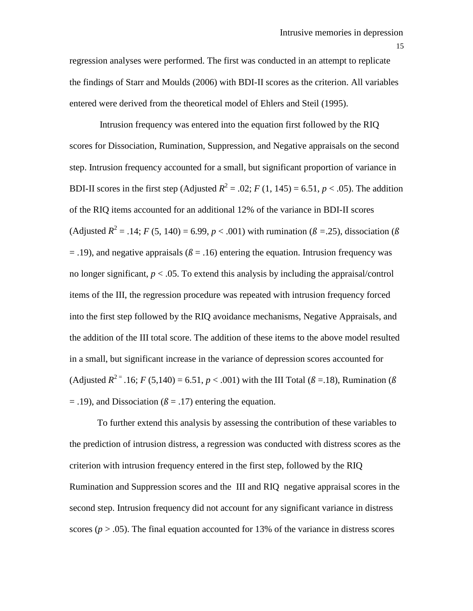regression analyses were performed. The first was conducted in an attempt to replicate the findings of Starr and Moulds (2006) with BDI-II scores as the criterion. All variables entered were derived from the theoretical model of Ehlers and Steil (1995).

Intrusion frequency was entered into the equation first followed by the RIQ scores for Dissociation, Rumination, Suppression, and Negative appraisals on the second step. Intrusion frequency accounted for a small, but significant proportion of variance in BDI-II scores in the first step (Adjusted  $R^2 = .02$ ; *F* (1, 145) = 6.51, *p* < .05). The addition of the RIQ items accounted for an additional 12% of the variance in BDI-II scores (Adjusted  $R^2 = .14$ ; *F* (5, 140) = 6.99, *p* < .001) with rumination ( $\beta = .25$ ), dissociation ( $\beta$  $=$  .19), and negative appraisals ( $\beta$  = .16) entering the equation. Intrusion frequency was no longer significant,  $p < .05$ . To extend this analysis by including the appraisal/control items of the III, the regression procedure was repeated with intrusion frequency forced into the first step followed by the RIQ avoidance mechanisms, Negative Appraisals, and the addition of the III total score. The addition of these items to the above model resulted in a small, but significant increase in the variance of depression scores accounted for (Adjusted  $R^{2} = .16$ ; *F* (5,140) = 6.51, *p* < .001) with the III Total ( $\beta$  = 18), Rumination ( $\beta$  $=$  .19), and Dissociation ( $\beta =$  .17) entering the equation.

To further extend this analysis by assessing the contribution of these variables to the prediction of intrusion distress, a regression was conducted with distres*s* scores as the criterion with intrusion frequency entered in the first step, followed by the RIQ Rumination and Suppression scores and the III and RIQ negative appraisal scores in the second step. Intrusion frequency did not account for any significant variance in distress scores  $(p > .05)$ . The final equation accounted for 13% of the variance in distress scores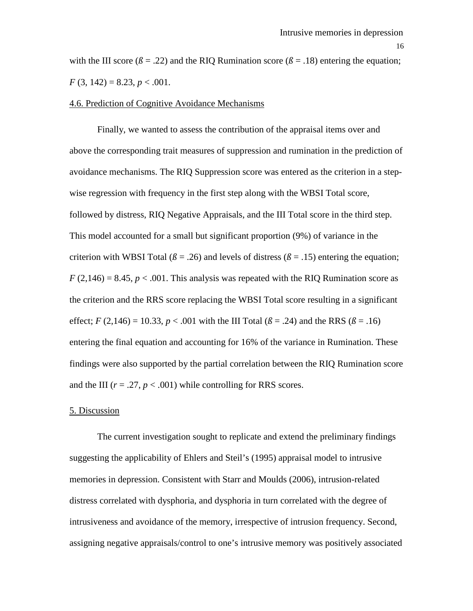with the III score ( $\beta$  = .22) and the RIO Rumination score ( $\beta$  = .18) entering the equation;  $F(3, 142) = 8.23, p < .001.$ 

## 4.6. Prediction of Cognitive Avoidance Mechanisms

Finally, we wanted to assess the contribution of the appraisal items over and above the corresponding trait measures of suppression and rumination in the prediction of avoidance mechanisms. The RIQ Suppression score was entered as the criterion in a stepwise regression with frequency in the first step along with the WBSI Total score, followed by distress, RIQ Negative Appraisals, and the III Total score in the third step. This model accounted for a small but significant proportion (9%) of variance in the criterion with WBSI Total ( $\beta$  = .26) and levels of distress ( $\beta$  = .15) entering the equation;  $F(2,146) = 8.45, p < .001$ . This analysis was repeated with the RIQ Rumination score as the criterion and the RRS score replacing the WBSI Total score resulting in a significant effect; *F* (2,146) = 10.33, *p* < .001 with the III Total ( $\beta$  = .24) and the RRS ( $\beta$  = .16) entering the final equation and accounting for 16% of the variance in Rumination. These findings were also supported by the partial correlation between the RIQ Rumination score and the III  $(r = .27, p < .001)$  while controlling for RRS scores.

## 5. Discussion

The current investigation sought to replicate and extend the preliminary findings suggesting the applicability of Ehlers and Steil's (1995) appraisal model to intrusive memories in depression. Consistent with Starr and Moulds (2006), intrusion-related distress correlated with dysphoria, and dysphoria in turn correlated with the degree of intrusiveness and avoidance of the memory, irrespective of intrusion frequency. Second, assigning negative appraisals/control to one's intrusive memory was positively associated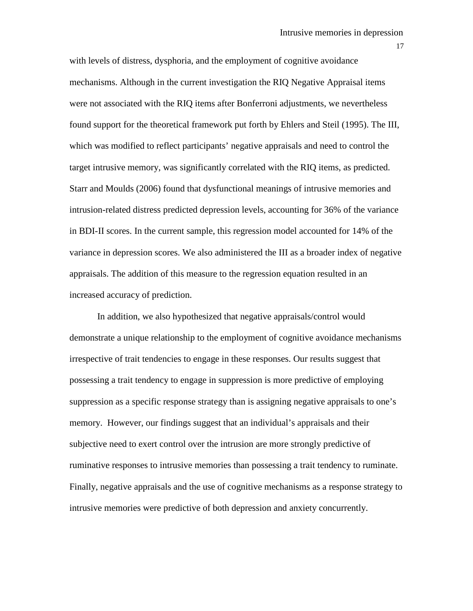with levels of distress, dysphoria, and the employment of cognitive avoidance mechanisms. Although in the current investigation the RIQ Negative Appraisal items were not associated with the RIQ items after Bonferroni adjustments, we nevertheless found support for the theoretical framework put forth by Ehlers and Steil (1995). The III, which was modified to reflect participants' negative appraisals and need to control the target intrusive memory, was significantly correlated with the RIQ items, as predicted. Starr and Moulds (2006) found that dysfunctional meanings of intrusive memories and intrusion-related distress predicted depression levels, accounting for 36% of the variance in BDI-II scores. In the current sample, this regression model accounted for 14% of the variance in depression scores. We also administered the III as a broader index of negative appraisals. The addition of this measure to the regression equation resulted in an increased accuracy of prediction.

In addition, we also hypothesized that negative appraisals/control would demonstrate a unique relationship to the employment of cognitive avoidance mechanisms irrespective of trait tendencies to engage in these responses. Our results suggest that possessing a trait tendency to engage in suppression is more predictive of employing suppression as a specific response strategy than is assigning negative appraisals to one's memory. However, our findings suggest that an individual's appraisals and their subjective need to exert control over the intrusion are more strongly predictive of ruminative responses to intrusive memories than possessing a trait tendency to ruminate. Finally, negative appraisals and the use of cognitive mechanisms as a response strategy to intrusive memories were predictive of both depression and anxiety concurrently.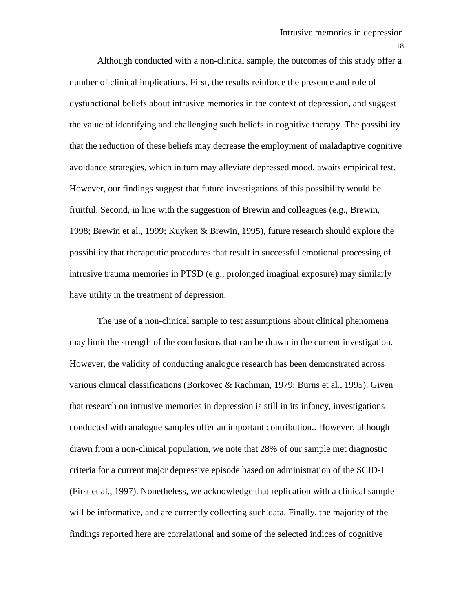Although conducted with a non-clinical sample, the outcomes of this study offer a number of clinical implications. First, the results reinforce the presence and role of dysfunctional beliefs about intrusive memories in the context of depression, and suggest the value of identifying and challenging such beliefs in cognitive therapy. The possibility that the reduction of these beliefs may decrease the employment of maladaptive cognitive avoidance strategies, which in turn may alleviate depressed mood, awaits empirical test. However, our findings suggest that future investigations of this possibility would be fruitful. Second, in line with the suggestion of Brewin and colleagues (e.g., Brewin, 1998; Brewin et al., 1999; Kuyken & Brewin, 1995), future research should explore the possibility that therapeutic procedures that result in successful emotional processing of intrusive trauma memories in PTSD (e.g., prolonged imaginal exposure) may similarly have utility in the treatment of depression.

The use of a non-clinical sample to test assumptions about clinical phenomena may limit the strength of the conclusions that can be drawn in the current investigation. However, the validity of conducting analogue research has been demonstrated across various clinical classifications (Borkovec & Rachman, 1979; Burns et al., 1995). Given that research on intrusive memories in depression is still in its infancy, investigations conducted with analogue samples offer an important contribution.. However, although drawn from a non-clinical population, we note that 28% of our sample met diagnostic criteria for a current major depressive episode based on administration of the SCID-I (First et al., 1997). Nonetheless, we acknowledge that replication with a clinical sample will be informative, and are currently collecting such data. Finally, the majority of the findings reported here are correlational and some of the selected indices of cognitive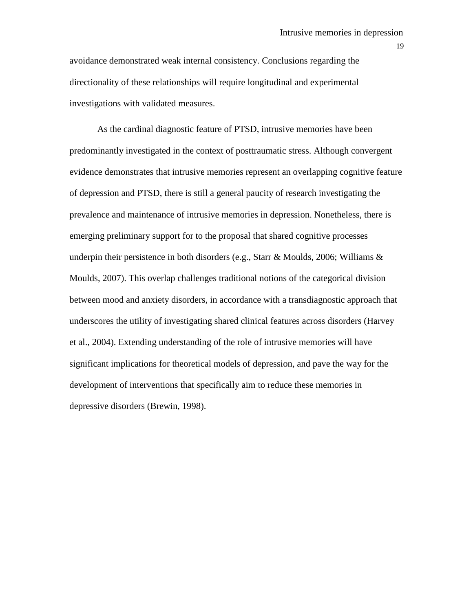avoidance demonstrated weak internal consistency. Conclusions regarding the directionality of these relationships will require longitudinal and experimental investigations with validated measures.

As the cardinal diagnostic feature of PTSD, intrusive memories have been predominantly investigated in the context of posttraumatic stress. Although convergent evidence demonstrates that intrusive memories represent an overlapping cognitive feature of depression and PTSD, there is still a general paucity of research investigating the prevalence and maintenance of intrusive memories in depression. Nonetheless, there is emerging preliminary support for to the proposal that shared cognitive processes underpin their persistence in both disorders (e.g., Starr & Moulds, 2006; Williams & Moulds, 2007). This overlap challenges traditional notions of the categorical division between mood and anxiety disorders, in accordance with a transdiagnostic approach that underscores the utility of investigating shared clinical features across disorders (Harvey et al., 2004). Extending understanding of the role of intrusive memories will have significant implications for theoretical models of depression, and pave the way for the development of interventions that specifically aim to reduce these memories in depressive disorders (Brewin, 1998).

19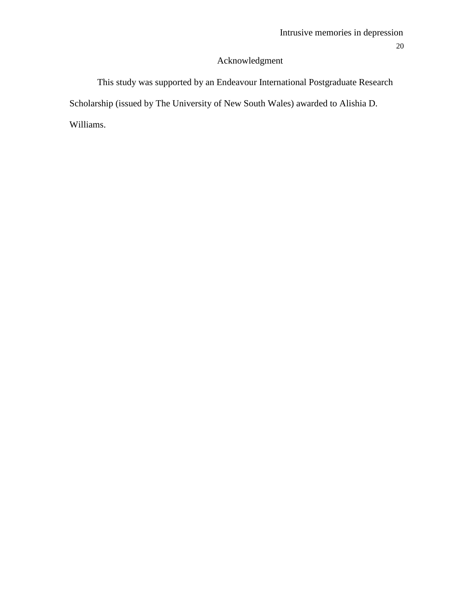## Acknowledgment

This study was supported by an Endeavour International Postgraduate Research Scholarship (issued by The University of New South Wales) awarded to Alishia D. Williams.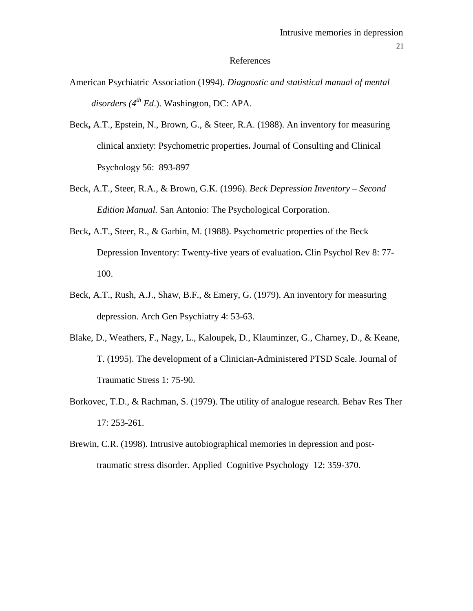### References

- American Psychiatric Association (1994). *Diagnostic and statistical manual of mental disorders (4th Ed*.). Washington, DC: APA.
- Beck**,** A.T., Epstein, N., Brown, G., & Steer, R.A. (1988). An inventory for measuring clinical anxiety: Psychometric properties**.** Journal of Consulting and Clinical Psychology 56: 893-897
- Beck, A.T., Steer, R.A., & Brown, G.K. (1996). *Beck Depression Inventory – Second Edition Manual.* San Antonio: The Psychological Corporation.
- Beck**,** A.T., Steer, R., & Garbin, M. (1988). Psychometric properties of the Beck Depression Inventory: Twenty-five years of evaluation**.** Clin Psychol Rev 8: 77- 100.
- Beck, A.T., Rush, A.J., Shaw, B.F., & Emery, G. (1979). An inventory for measuring depression. Arch Gen Psychiatry 4: 53-63.
- Blake, D., Weathers, F., Nagy, L., Kaloupek, D., Klauminzer, G., Charney, D., & Keane, T. (1995). The development of a Clinician-Administered PTSD Scale. Journal of Traumatic Stress 1: 75-90.
- Borkovec, T.D., & Rachman, S. (1979). The utility of analogue research. Behav Res Ther 17: 253-261.
- Brewin, C.R. (1998). Intrusive autobiographical memories in depression and posttraumatic stress disorder. Applied Cognitive Psychology 12: 359-370.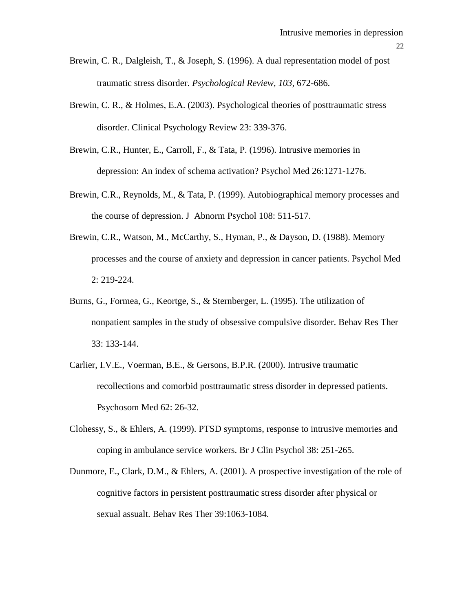- Brewin, C. R., Dalgleish, T., & Joseph, S. (1996). A dual representation model of post traumatic stress disorder. *Psychological Review, 103,* 672-686.
- Brewin, C. R., & Holmes, E.A. (2003). Psychological theories of posttraumatic stress disorder. Clinical Psychology Review 23: 339-376.
- Brewin, C.R., Hunter, E., Carroll, F., & Tata, P. (1996). Intrusive memories in depression: An index of schema activation? Psychol Med 26:1271-1276.
- Brewin, C.R., Reynolds, M., & Tata, P. (1999). Autobiographical memory processes and the course of depression. J Abnorm Psychol 108: 511-517.
- Brewin, C.R., Watson, M., McCarthy, S., Hyman, P., & Dayson, D. (1988). Memory processes and the course of anxiety and depression in cancer patients. Psychol Med 2: 219-224.
- Burns, G., Formea, G., Keortge, S., & Sternberger, L. (1995). The utilization of nonpatient samples in the study of obsessive compulsive disorder. Behav Res Ther 33: 133-144.
- Carlier, I.V.E., Voerman, B.E., & Gersons, B.P.R. (2000). Intrusive traumatic recollections and comorbid posttraumatic stress disorder in depressed patients. Psychosom Med 62: 26-32.
- Clohessy, S., & Ehlers, A. (1999). PTSD symptoms, response to intrusive memories and coping in ambulance service workers. Br J Clin Psychol 38: 251-265.
- Dunmore, E., Clark, D.M., & Ehlers, A. (2001). A prospective investigation of the role of cognitive factors in persistent posttraumatic stress disorder after physical or sexual assualt. Behav Res Ther 39:1063-1084.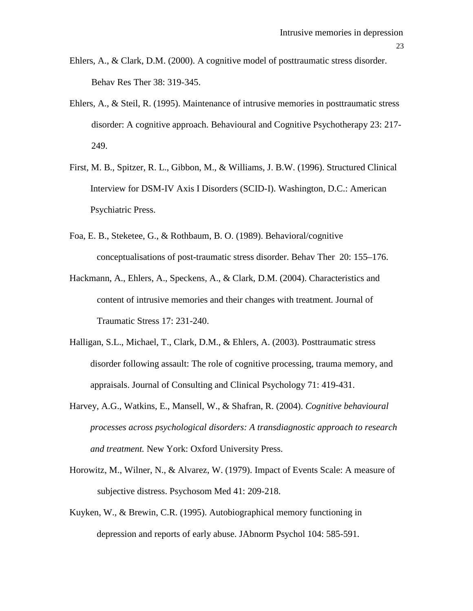- Ehlers, A., & Clark, D.M. (2000). A cognitive model of posttraumatic stress disorder. Behav Res Ther 38: 319-345.
- Ehlers, A., & Steil, R. (1995). Maintenance of intrusive memories in posttraumatic stress disorder: A cognitive approach. Behavioural and Cognitive Psychotherapy 23: 217- 249.
- First, M. B., Spitzer, R. L., Gibbon, M., & Williams, J. B.W. (1996). Structured Clinical Interview for DSM-IV Axis I Disorders (SCID-I). Washington, D.C.: American Psychiatric Press.
- Foa, E. B., Steketee, G., & Rothbaum, B. O. (1989). Behavioral/cognitive conceptualisations of post-traumatic stress disorder. Behav Ther 20: 155–176.
- Hackmann, A., Ehlers, A., Speckens, A., & Clark, D.M. (2004). Characteristics and content of intrusive memories and their changes with treatment*.* Journal of Traumatic Stress 17: 231-240.
- Halligan, S.L., Michael, T., Clark, D.M., & Ehlers, A. (2003). Posttraumatic stress disorder following assault: The role of cognitive processing, trauma memory, and appraisals. Journal of Consulting and Clinical Psychology 71: 419-431.
- Harvey, A.G., Watkins, E., Mansell, W., & Shafran, R. (2004). *Cognitive behavioural processes across psychological disorders: A transdiagnostic approach to research and treatment.* New York: Oxford University Press.
- Horowitz, M., Wilner, N., & Alvarez, W. (1979). Impact of Events Scale: A measure of subjective distress. Psychosom Med 41: 209-218.
- Kuyken, W., & Brewin, C.R. (1995). Autobiographical memory functioning in depression and reports of early abuse. JAbnorm Psychol 104: 585-591.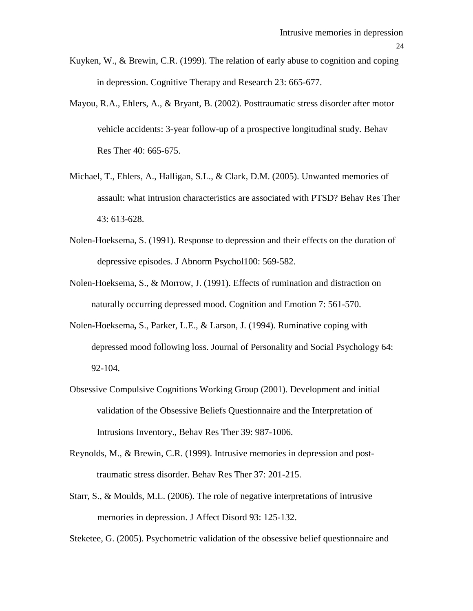- Kuyken, W., & Brewin, C.R. (1999). The relation of early abuse to cognition and coping in depression. Cognitive Therapy and Research 23: 665-677.
- Mayou, R.A., Ehlers, A., & Bryant, B. (2002). Posttraumatic stress disorder after motor vehicle accidents: 3-year follow-up of a prospective longitudinal study. Behav Res Ther 40: 665-675.
- Michael, T., Ehlers, A., Halligan, S.L., & Clark, D.M. (2005). Unwanted memories of assault: what intrusion characteristics are associated with PTSD? Behav Res Ther 43: 613-628.
- Nolen-Hoeksema, S. (1991). Response to depression and their effects on the duration of depressive episodes. J Abnorm Psychol100: 569-582.
- Nolen-Hoeksema, S., & Morrow, J. (1991). Effects of rumination and distraction on naturally occurring depressed mood. Cognition and Emotion 7: 561-570.
- Nolen**-**Hoeksema**,** S., Parker, L.E., & Larson, J. (1994). Ruminative coping with depressed mood following loss. Journal of Personality and Social Psychology 64: 92-104.
- Obsessive Compulsive Cognitions Working Group (2001). Development and initial validation of the Obsessive Beliefs Questionnaire and the Interpretation of Intrusions Inventory.*,* Behav Res Ther 39: 987-1006.
- Reynolds, M., & Brewin, C.R. (1999). Intrusive memories in depression and posttraumatic stress disorder. Behav Res Ther 37: 201-215.
- Starr, S., & Moulds, M.L. (2006). The role of negative interpretations of intrusive memories in depression. J Affect Disord 93: 125-132.

Steketee, G. (2005). Psychometric validation of the obsessive belief questionnaire and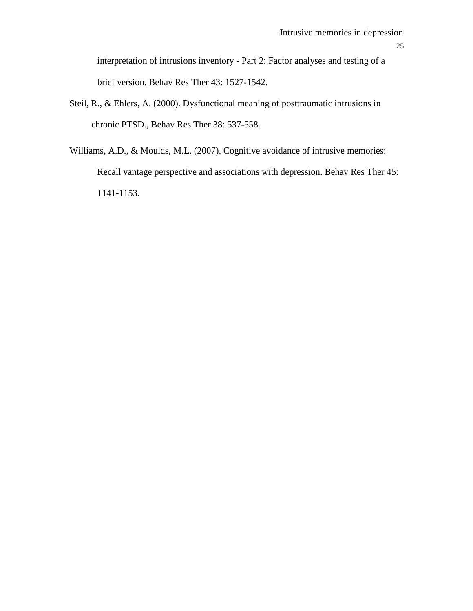interpretation of intrusions inventory - Part 2: Factor analyses and testing of a brief version. Behav Res Ther 43: 1527-1542.

- Steil**,** R., & Ehlers, A. (2000). Dysfunctional meaning of posttraumatic intrusions in chronic PTSD.*,* Behav Res Ther 38: 537-558.
- Williams, A.D., & Moulds, M.L. (2007). Cognitive avoidance of intrusive memories: Recall vantage perspective and associations with depression. Behav Res Ther 45: 1141-1153.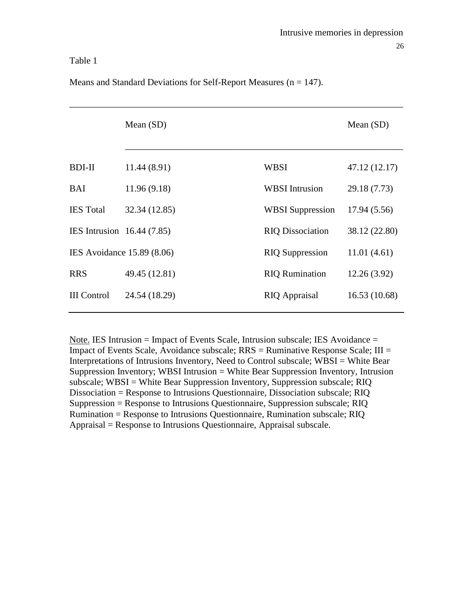## Table 1

|                            | Mean $(SD)$                |                         | Mean $(SD)$   |
|----------------------------|----------------------------|-------------------------|---------------|
| <b>BDI-II</b>              | 11.44 (8.91)               | <b>WBSI</b>             | 47.12 (12.17) |
| BAI                        | 11.96(9.18)                | <b>WBSI</b> Intrusion   | 29.18 (7.73)  |
| <b>IES</b> Total           | 32.34 (12.85)              | <b>WBSI</b> Suppression | 17.94 (5.56)  |
| IES Intrusion 16.44 (7.85) |                            | <b>RIQ Dissociation</b> | 38.12 (22.80) |
|                            | IES Avoidance 15.89 (8.06) | <b>RIQ Suppression</b>  | 11.01(4.61)   |
| <b>RRS</b>                 | 49.45 (12.81)              | <b>RIQ Rumination</b>   | 12.26(3.92)   |
| <b>III</b> Control         | 24.54 (18.29)              | <b>RIQ</b> Appraisal    | 16.53(10.68)  |
|                            |                            |                         |               |

Means and Standard Deviations for Self-Report Measures  $(n = 147)$ .

Note. IES Intrusion = Impact of Events Scale, Intrusion subscale; IES Avoidance = Impact of Events Scale, Avoidance subscale;  $RRS =$  Ruminative Response Scale;  $III =$ Interpretations of Intrusions Inventory, Need to Control subscale; WBSI = White Bear Suppression Inventory; WBSI Intrusion = White Bear Suppression Inventory, Intrusion subscale; WBSI = White Bear Suppression Inventory, Suppression subscale; RIQ Dissociation = Response to Intrusions Questionnaire, Dissociation subscale; RIQ Suppression = Response to Intrusions Questionnaire, Suppression subscale; RIQ Rumination = Response to Intrusions Questionnaire, Rumination subscale; RIQ Appraisal = Response to Intrusions Questionnaire, Appraisal subscale.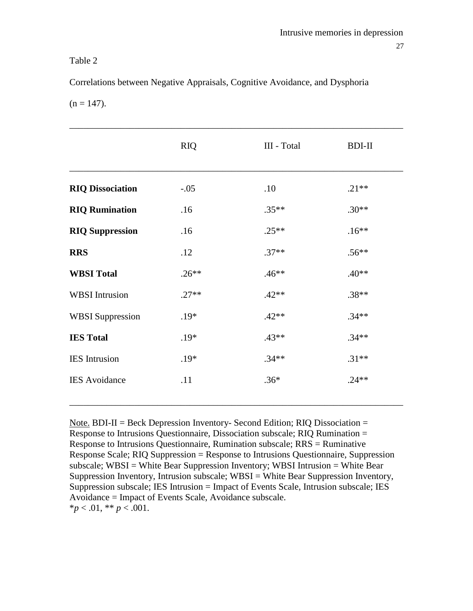## Table 2

Correlations between Negative Appraisals, Cognitive Avoidance, and Dysphoria

 $(n = 147)$ .

|                         | <b>RIQ</b> | III - Total | <b>BDI-II</b> |
|-------------------------|------------|-------------|---------------|
| <b>RIQ Dissociation</b> | $-.05$     | .10         | $.21**$       |
| <b>RIQ Rumination</b>   | .16        | $.35**$     | $.30**$       |
| <b>RIQ Suppression</b>  | .16        | $.25**$     | $.16**$       |
| <b>RRS</b>              | .12        | $.37**$     | $.56**$       |
| <b>WBSI Total</b>       | $.26**$    | $.46**$     | $.40**$       |
| <b>WBSI</b> Intrusion   | $.27**$    | $.42**$     | $.38**$       |
| <b>WBSI</b> Suppression | $.19*$     | $.42**$     | $.34**$       |
| <b>IES Total</b>        | .19*       | $.43**$     | $.34**$       |
| <b>IES</b> Intrusion    | $.19*$     | $.34**$     | $.31**$       |
| <b>IES</b> Avoidance    | .11        | $.36*$      | $.24**$       |

Note. BDI-II = Beck Depression Inventory- Second Edition; RIQ Dissociation = Response to Intrusions Questionnaire, Dissociation subscale; RIQ Rumination = Response to Intrusions Questionnaire, Rumination subscale; RRS = Ruminative Response Scale; RIQ Suppression = Response to Intrusions Questionnaire, Suppression subscale; WBSI = White Bear Suppression Inventory; WBSI Intrusion = White Bear Suppression Inventory, Intrusion subscale; WBSI = White Bear Suppression Inventory, Suppression subscale; IES Intrusion = Impact of Events Scale, Intrusion subscale; IES Avoidance = Impact of Events Scale, Avoidance subscale.  $**p* < .01, ** *p* < .001.$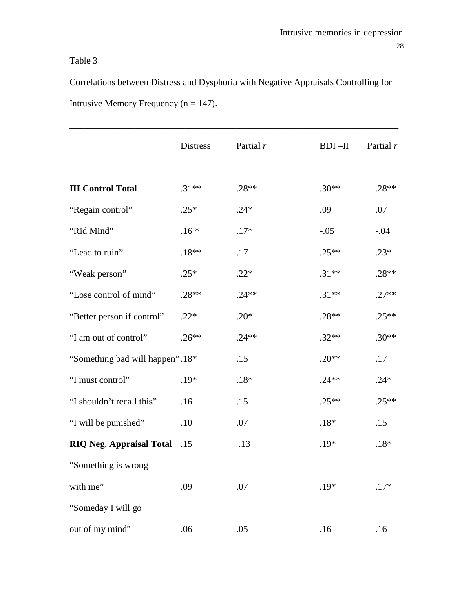# Table 3

Correlations between Distress and Dysphoria with Negative Appraisals Controlling for Intrusive Memory Frequency ( $n = 147$ ).

|                                 | <b>Distress</b> | Partial r | $BDI - II$ | Partial $r$ |
|---------------------------------|-----------------|-----------|------------|-------------|
| <b>III Control Total</b>        | $.31**$         | $.28**$   | $.30**$    | $.28**$     |
| "Regain control"                | $.25*$          | $.24*$    | .09        | .07         |
| "Rid Mind"                      | $.16*$          | $.17*$    | $-.05$     | $-.04$      |
| "Lead to ruin"                  | $.18**$         | .17       | $.25**$    | $.23*$      |
| "Weak person"                   | $.25*$          | $.22*$    | $.31**$    | $.28**$     |
| "Lose control of mind"          | $.28**$         | $.24**$   | $.31**$    | $.27**$     |
| "Better person if control"      | $.22*$          | $.20*$    | $.28**$    | $.25**$     |
| "I am out of control"           | $.26**$         | $.24**$   | $.32**$    | $.30**$     |
| "Something bad will happen".18* |                 | .15       | $.20**$    | .17         |
| "I must control"                | $.19*$          | $.18*$    | $.24**$    | $.24*$      |
| "I shouldn't recall this"       | .16             | .15       | $.25**$    | $.25**$     |
| "I will be punished"            | .10             | .07       | $.18*$     | .15         |
| <b>RIQ Neg. Appraisal Total</b> | .15             | .13       | $.19*$     | $.18*$      |
| "Something is wrong             |                 |           |            |             |
| with me"                        | .09             | .07       | .19*       | $.17*$      |
| "Someday I will go              |                 |           |            |             |
| out of my mind"                 | .06             | .05       | .16        | .16         |